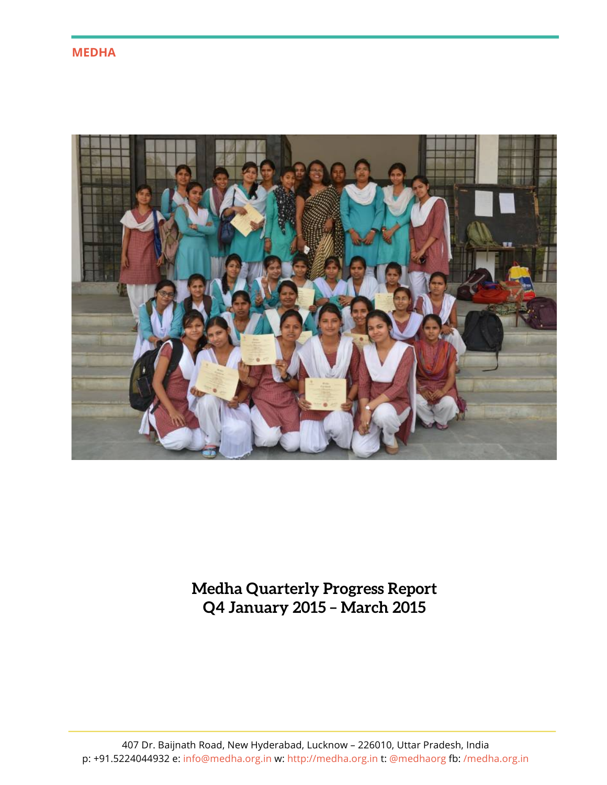**MEDHA**



**Medha Quarterly Progress Report Q4 January 2015 – March 2015**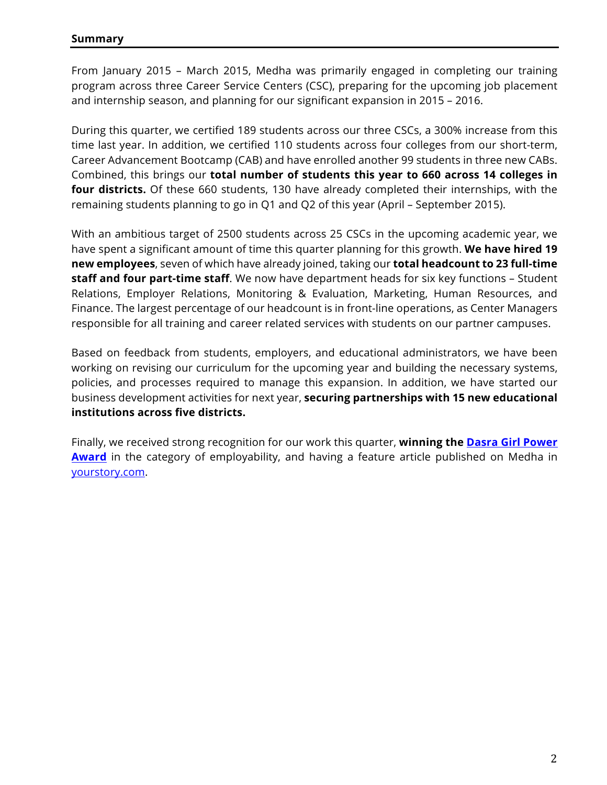From January 2015 – March 2015, Medha was primarily engaged in completing our training program across three Career Service Centers (CSC), preparing for the upcoming job placement and internship season, and planning for our significant expansion in 2015 – 2016.

During this quarter, we certified 189 students across our three CSCs, a 300% increase from this time last year. In addition, we certified 110 students across four colleges from our short-term, Career Advancement Bootcamp (CAB) and have enrolled another 99 students in three new CABs. Combined, this brings our **total number of students this year to 660 across 14 colleges in four districts.** Of these 660 students, 130 have already completed their internships, with the remaining students planning to go in Q1 and Q2 of this year (April – September 2015).

With an ambitious target of 2500 students across 25 CSCs in the upcoming academic year, we have spent a significant amount of time this quarter planning for this growth. **We have hired 19 new employees**, seven of which have already joined, taking our **total headcount to 23 full-time staff and four part-time staff**. We now have department heads for six key functions – Student Relations, Employer Relations, Monitoring & Evaluation, Marketing, Human Resources, and Finance. The largest percentage of our headcount is in front-line operations, as Center Managers responsible for all training and career related services with students on our partner campuses.

Based on feedback from students, employers, and educational administrators, we have been working on revising our curriculum for the upcoming year and building the necessary systems, policies, and processes required to manage this expansion. In addition, we have started our business development activities for next year, **securing partnerships with 15 new educational institutions across five districts.** 

Finally, we received strong recognition for our work this quarter, **winning the Dasra Girl Power Award** in the category of employability, and having a feature article published on Medha in yourstory.com.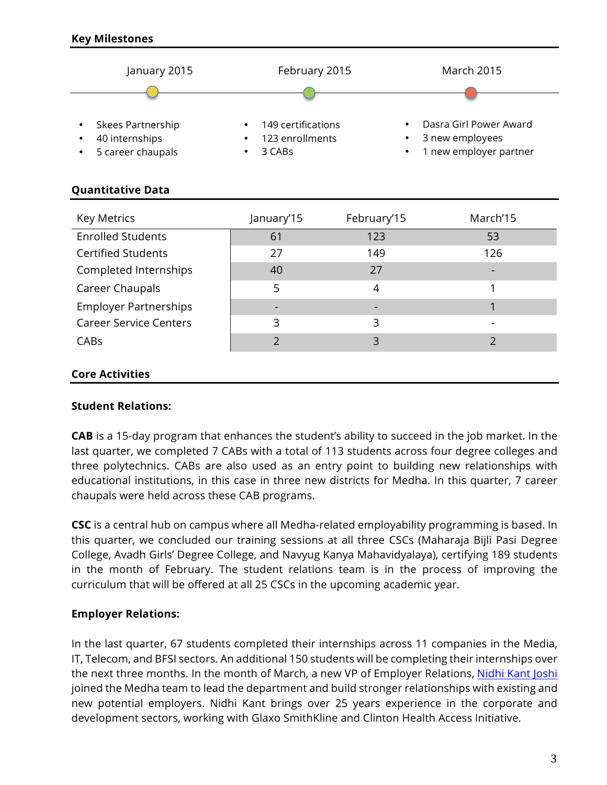

# **Quantitative Data**

| <b>Key Metrics</b>            | January'15 | February'15 | March'15 |
|-------------------------------|------------|-------------|----------|
| <b>Enrolled Students</b>      | 61         | 123         | 53       |
| <b>Certified Students</b>     | 27         | 149         | 126      |
| Completed Internships         | 40         | 27          |          |
| Career Chaupals               | 5          | 4           |          |
| <b>Employer Partnerships</b>  |            |             |          |
| <b>Career Service Centers</b> | 3          | 3           |          |
| CABS                          |            | 3           |          |
|                               |            |             |          |

### **Core Activities**

### **Student Relations:**

**CAB** is a 15-day program that enhances the student's ability to succeed in the job market. In the last quarter, we completed 7 CABs with a total of 113 students across four degree colleges and three polytechnics. CABs are also used as an entry point to building new relationships with educational institutions, in this case in three new districts for Medha. In this quarter, 7 career chaupals were held across these CAB programs.

**CSC** is a central hub on campus where all Medha-related employability programming is based. In this quarter, we concluded our training sessions at all three CSCs (Maharaja Bijli Pasi Degree College, Avadh Girls' Degree College, and Navyug Kanya Mahavidyalaya), certifying 189 students in the month of February. The student relations team is in the process of improving the curriculum that will be offered at all 25 CSCs in the upcoming academic year.

### **Employer Relations:**

In the last quarter, 67 students completed their internships across 11 companies in the Media, IT, Telecom, and BFSI sectors. An additional 150 students will be completing their internships over the next three months. In the month of March, a new VP of Employer Relations, Nidhi Kant Joshi joined the Medha team to lead the department and build stronger relationships with existing and new potential employers. Nidhi Kant brings over 25 years experience in the corporate and development sectors, working with Glaxo SmithKline and Clinton Health Access Initiative.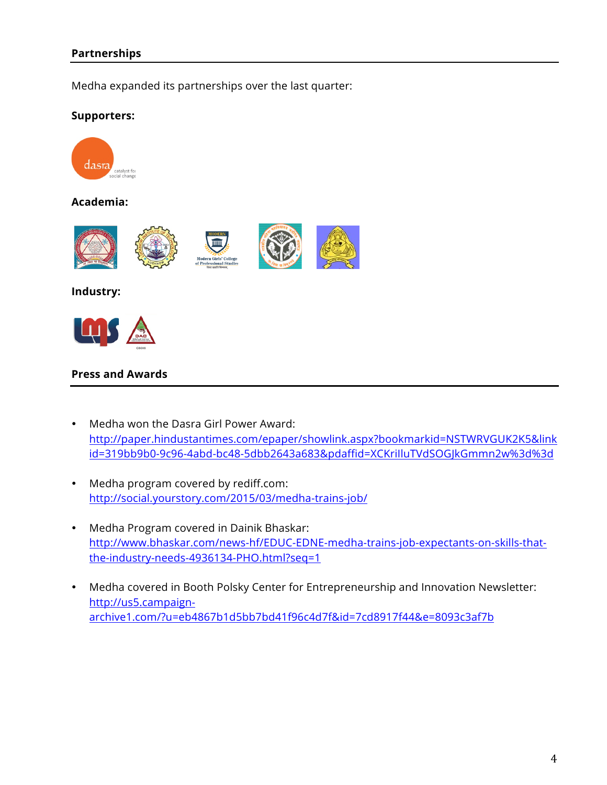## **Partnerships**

Medha expanded its partnerships over the last quarter:

#### **Supporters:**



### **Academia:**



#### **Industry:**



#### **Press and Awards**

- Medha won the Dasra Girl Power Award: http://paper.hindustantimes.com/epaper/showlink.aspx?bookmarkid=NSTWRVGUK2K5&link id=319bb9b0-9c96-4abd-bc48-5dbb2643a683&pdaffid=XCKriIluTVdSOGJkGmmn2w%3d%3d
- Medha program covered by rediff.com: http://social.yourstory.com/2015/03/medha-trains-job/
- Medha Program covered in Dainik Bhaskar: http://www.bhaskar.com/news-hf/EDUC-EDNE-medha-trains-job-expectants-on-skills-thatthe-industry-needs-4936134-PHO.html?seq=1
- Medha covered in Booth Polsky Center for Entrepreneurship and Innovation Newsletter: http://us5.campaignarchive1.com/?u=eb4867b1d5bb7bd41f96c4d7f&id=7cd8917f44&e=8093c3af7b